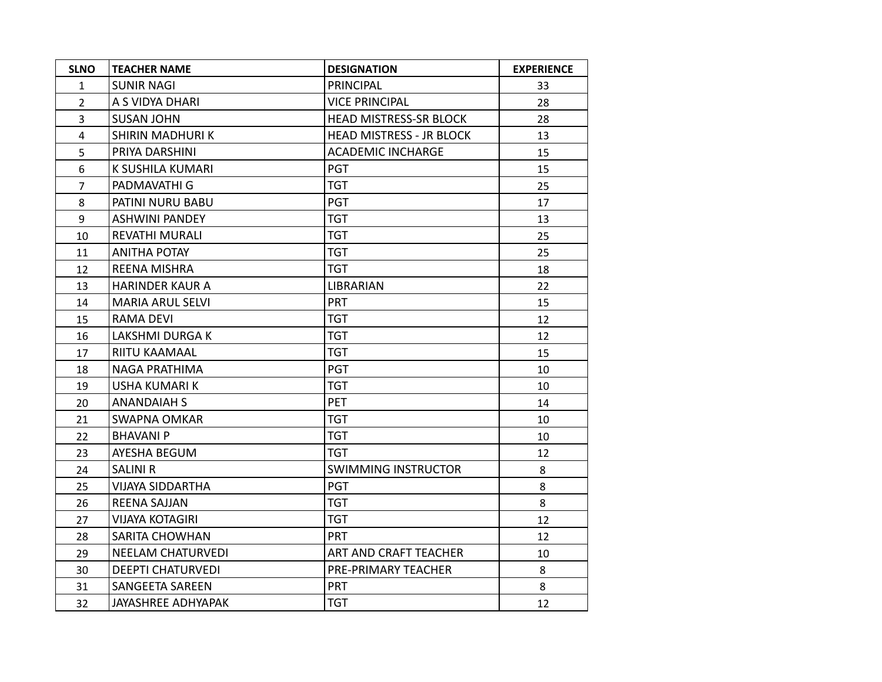| <b>SLNO</b>    | <b>TEACHER NAME</b>       | <b>DESIGNATION</b>              | <b>EXPERIENCE</b> |
|----------------|---------------------------|---------------------------------|-------------------|
| $\mathbf{1}$   | <b>SUNIR NAGI</b>         | <b>PRINCIPAL</b>                | 33                |
| $\overline{2}$ | A S VIDYA DHARI           | <b>VICE PRINCIPAL</b>           | 28                |
| $\overline{3}$ | <b>SUSAN JOHN</b>         | <b>HEAD MISTRESS-SR BLOCK</b>   | 28                |
| $\overline{4}$ | SHIRIN MADHURI K          | <b>HEAD MISTRESS - JR BLOCK</b> | 13                |
| 5              | PRIYA DARSHINI            | <b>ACADEMIC INCHARGE</b>        | 15                |
| 6              | K SUSHILA KUMARI          | <b>PGT</b>                      | 15                |
| $\overline{7}$ | PADMAVATHI G              | <b>TGT</b>                      | 25                |
| 8              | PATINI NURU BABU          | <b>PGT</b>                      | 17                |
| 9              | <b>ASHWINI PANDEY</b>     | <b>TGT</b>                      | 13                |
| 10             | <b>REVATHI MURALI</b>     | <b>TGT</b>                      | 25                |
| 11             | <b>ANITHA POTAY</b>       | <b>TGT</b>                      | 25                |
| 12             | <b>REENA MISHRA</b>       | <b>TGT</b>                      | 18                |
| 13             | <b>HARINDER KAUR A</b>    | <b>LIBRARIAN</b>                | 22                |
| 14             | <b>MARIA ARUL SELVI</b>   | <b>PRT</b>                      | 15                |
| 15             | <b>RAMA DEVI</b>          | <b>TGT</b>                      | 12                |
| 16             | LAKSHMI DURGA K           | <b>TGT</b>                      | 12                |
| 17             | RIITU KAAMAAL             | <b>TGT</b>                      | 15                |
| 18             | NAGA PRATHIMA             | <b>PGT</b>                      | 10                |
| 19             | <b>USHA KUMARI K</b>      | <b>TGT</b>                      | 10                |
| 20             | <b>ANANDAIAH S</b>        | <b>PET</b>                      | 14                |
| 21             | <b>SWAPNA OMKAR</b>       | <b>TGT</b>                      | 10                |
| 22             | <b>BHAVANI P</b>          | <b>TGT</b>                      | 10                |
| 23             | AYESHA BEGUM              | <b>TGT</b>                      | 12                |
| 24             | <b>SALINI R</b>           | <b>SWIMMING INSTRUCTOR</b>      | 8                 |
| 25             | <b>VIJAYA SIDDARTHA</b>   | <b>PGT</b>                      | 8                 |
| 26             | <b>REENA SAJJAN</b>       | <b>TGT</b>                      | 8                 |
| 27             | <b>VIJAYA KOTAGIRI</b>    | <b>TGT</b>                      | 12                |
| 28             | SARITA CHOWHAN            | <b>PRT</b>                      | 12                |
| 29             | <b>NEELAM CHATURVEDI</b>  | ART AND CRAFT TEACHER           | 10                |
| 30             | <b>DEEPTI CHATURVEDI</b>  | PRE-PRIMARY TEACHER             | 8                 |
| 31             | SANGEETA SAREEN           | <b>PRT</b>                      | 8                 |
| 32             | <b>JAYASHREE ADHYAPAK</b> | <b>TGT</b>                      | 12                |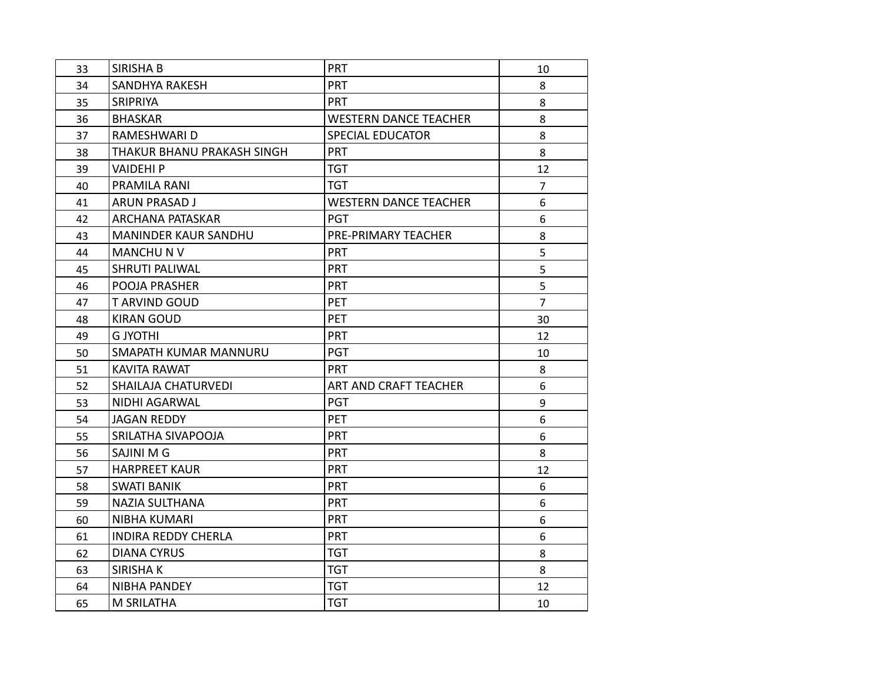| 33 | <b>SIRISHA B</b>           | PRT                          | 10               |
|----|----------------------------|------------------------------|------------------|
| 34 | SANDHYA RAKESH             | <b>PRT</b>                   | 8                |
| 35 | SRIPRIYA                   | <b>PRT</b>                   | 8                |
| 36 | <b>BHASKAR</b>             | <b>WESTERN DANCE TEACHER</b> | 8                |
| 37 | RAMESHWARI D               | <b>SPECIAL EDUCATOR</b>      | 8                |
| 38 | THAKUR BHANU PRAKASH SINGH | <b>PRT</b>                   | 8                |
| 39 | <b>VAIDEHIP</b>            | <b>TGT</b>                   | 12               |
| 40 | PRAMILA RANI               | <b>TGT</b>                   | $\overline{7}$   |
| 41 | <b>ARUN PRASAD J</b>       | <b>WESTERN DANCE TEACHER</b> | 6                |
| 42 | <b>ARCHANA PATASKAR</b>    | <b>PGT</b>                   | 6                |
| 43 | MANINDER KAUR SANDHU       | PRE-PRIMARY TEACHER          | 8                |
| 44 | <b>MANCHU N V</b>          | PRT                          | 5                |
| 45 | SHRUTI PALIWAL             | <b>PRT</b>                   | 5                |
| 46 | POOJA PRASHER              | <b>PRT</b>                   | 5                |
| 47 | <b>TARVIND GOUD</b>        | <b>PET</b>                   | $\overline{7}$   |
| 48 | <b>KIRAN GOUD</b>          | <b>PET</b>                   | 30               |
| 49 | <b>G JYOTHI</b>            | <b>PRT</b>                   | 12               |
| 50 | SMAPATH KUMAR MANNURU      | <b>PGT</b>                   | 10               |
| 51 | <b>KAVITA RAWAT</b>        | <b>PRT</b>                   | 8                |
| 52 | <b>SHAILAJA CHATURVEDI</b> | ART AND CRAFT TEACHER        | 6                |
| 53 | NIDHI AGARWAL              | <b>PGT</b>                   | 9                |
| 54 | <b>JAGAN REDDY</b>         | <b>PET</b>                   | 6                |
| 55 | SRILATHA SIVAPOOJA         | PRT                          | 6                |
| 56 | SAJINI M G                 | <b>PRT</b>                   | 8                |
| 57 | <b>HARPREET KAUR</b>       | PRT                          | 12               |
| 58 | <b>SWATI BANIK</b>         | PRT                          | 6                |
| 59 | <b>NAZIA SULTHANA</b>      | PRT                          | 6                |
| 60 | NIBHA KUMARI               | PRT                          | 6                |
| 61 | <b>INDIRA REDDY CHERLA</b> | PRT                          | $\boldsymbol{6}$ |
| 62 | <b>DIANA CYRUS</b>         | <b>TGT</b>                   | 8                |
| 63 | <b>SIRISHAK</b>            | <b>TGT</b>                   | 8                |
| 64 | NIBHA PANDEY               | <b>TGT</b>                   | 12               |
| 65 | M SRILATHA                 | <b>TGT</b>                   | 10               |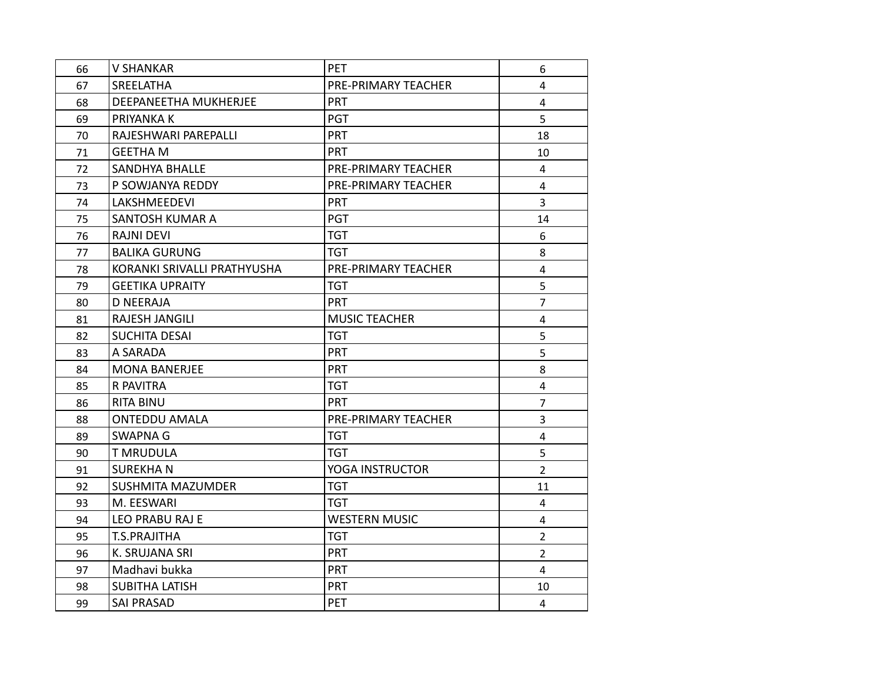| 66 | <b>V SHANKAR</b>            | PET                  | 6              |
|----|-----------------------------|----------------------|----------------|
| 67 | <b>SREELATHA</b>            | PRE-PRIMARY TEACHER  | 4              |
| 68 | DEEPANEETHA MUKHERJEE       | <b>PRT</b>           | 4              |
| 69 | PRIYANKA K                  | <b>PGT</b>           | 5              |
| 70 | RAJESHWARI PAREPALLI        | PRT                  | 18             |
| 71 | <b>GEETHA M</b>             | <b>PRT</b>           | 10             |
| 72 | <b>SANDHYA BHALLE</b>       | PRE-PRIMARY TEACHER  | 4              |
| 73 | P SOWJANYA REDDY            | PRE-PRIMARY TEACHER  | $\overline{4}$ |
| 74 | LAKSHMEEDEVI                | <b>PRT</b>           | 3              |
| 75 | SANTOSH KUMAR A             | PGT                  | 14             |
| 76 | <b>RAJNI DEVI</b>           | <b>TGT</b>           | 6              |
| 77 | <b>BALIKA GURUNG</b>        | <b>TGT</b>           | 8              |
| 78 | KORANKI SRIVALLI PRATHYUSHA | PRE-PRIMARY TEACHER  | $\overline{4}$ |
| 79 | <b>GEETIKA UPRAITY</b>      | <b>TGT</b>           | 5              |
| 80 | <b>D NEERAJA</b>            | <b>PRT</b>           | $\overline{7}$ |
| 81 | <b>RAJESH JANGILI</b>       | <b>MUSIC TEACHER</b> | $\overline{4}$ |
| 82 | <b>SUCHITA DESAI</b>        | <b>TGT</b>           | 5              |
| 83 | A SARADA                    | PRT                  | 5              |
| 84 | <b>MONA BANERJEE</b>        | <b>PRT</b>           | 8              |
| 85 | R PAVITRA                   | <b>TGT</b>           | $\overline{4}$ |
| 86 | <b>RITA BINU</b>            | <b>PRT</b>           | $\overline{7}$ |
| 88 | <b>ONTEDDU AMALA</b>        | PRE-PRIMARY TEACHER  | 3              |
| 89 | <b>SWAPNA G</b>             | <b>TGT</b>           | $\overline{4}$ |
| 90 | <b>T MRUDULA</b>            | <b>TGT</b>           | 5              |
| 91 | <b>SUREKHAN</b>             | YOGA INSTRUCTOR      | $\overline{2}$ |
| 92 | <b>SUSHMITA MAZUMDER</b>    | <b>TGT</b>           | 11             |
| 93 | M. EESWARI                  | <b>TGT</b>           | $\overline{4}$ |
| 94 | <b>LEO PRABU RAJ E</b>      | <b>WESTERN MUSIC</b> | $\overline{4}$ |
| 95 | <b>T.S.PRAJITHA</b>         | <b>TGT</b>           | $\overline{2}$ |
| 96 | K. SRUJANA SRI              | <b>PRT</b>           | $2^{\circ}$    |
| 97 | Madhavi bukka               | <b>PRT</b>           | $\overline{4}$ |
| 98 | <b>SUBITHA LATISH</b>       | <b>PRT</b>           | 10             |
| 99 | <b>SAI PRASAD</b>           | PET                  | 4              |